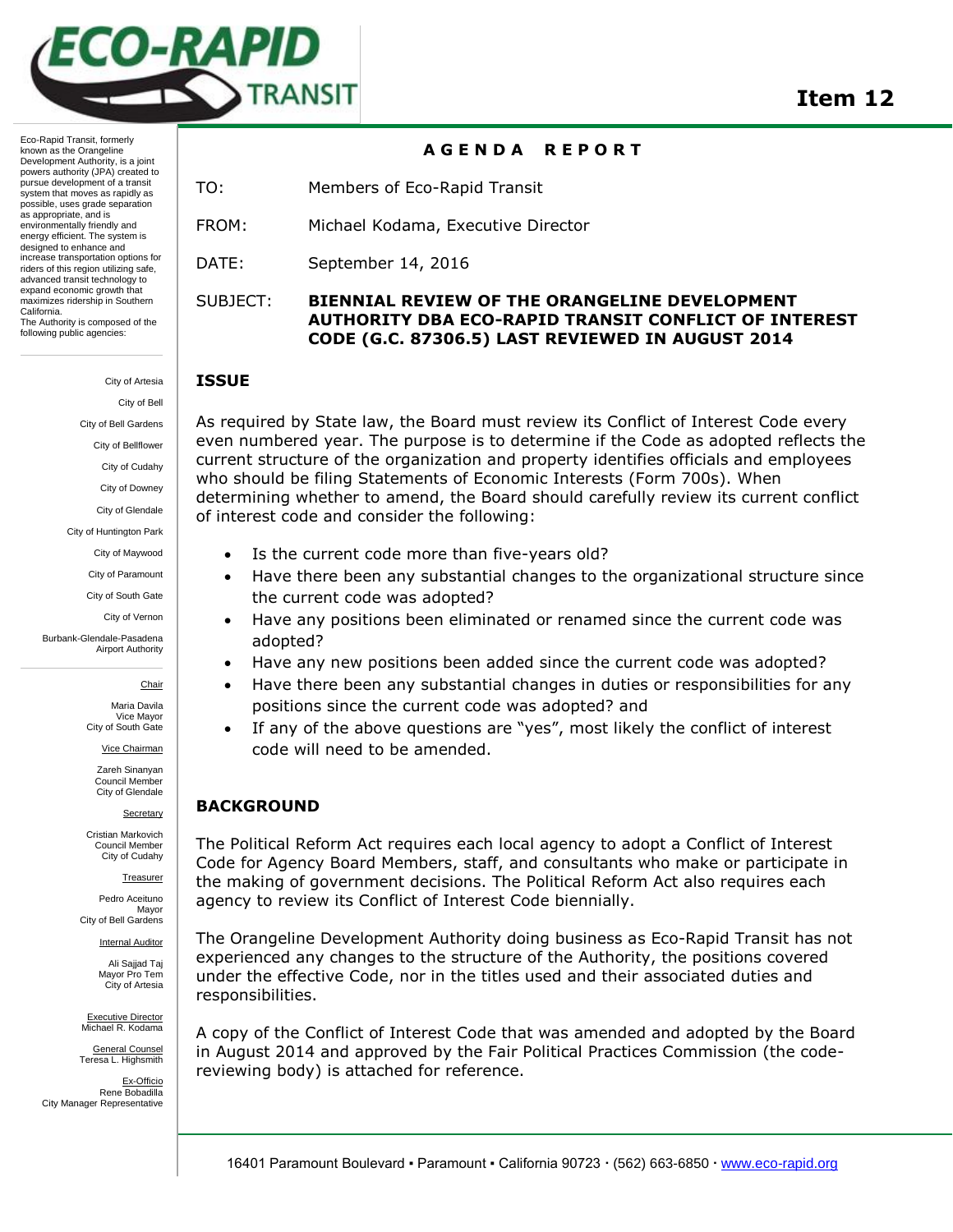

## **A G E N D A R E P O R T**

TO: Members of Eco-Rapid Transit

FROM: Michael Kodama, Executive Director

DATE: September 14, 2016

## SUBJECT: **BIENNIAL REVIEW OF THE ORANGELINE DEVELOPMENT AUTHORITY DBA ECO-RAPID TRANSIT CONFLICT OF INTEREST CODE (G.C. 87306.5) LAST REVIEWED IN AUGUST 2014**

### **ISSUE**

As required by State law, the Board must review its Conflict of Interest Code every even numbered year. The purpose is to determine if the Code as adopted reflects the current structure of the organization and property identifies officials and employees who should be filing Statements of Economic Interests (Form 700s). When determining whether to amend, the Board should carefully review its current conflict of interest code and consider the following:

- Is the current code more than five-years old?
- Have there been any substantial changes to the organizational structure since the current code was adopted?
- Have any positions been eliminated or renamed since the current code was adopted?
- Have any new positions been added since the current code was adopted?
- Have there been any substantial changes in duties or responsibilities for any positions since the current code was adopted? and
- If any of the above questions are "yes", most likely the conflict of interest code will need to be amended.

### **BACKGROUND**

The Political Reform Act requires each local agency to adopt a Conflict of Interest Code for Agency Board Members, staff, and consultants who make or participate in the making of government decisions. The Political Reform Act also requires each agency to review its Conflict of Interest Code biennially.

The Orangeline Development Authority doing business as Eco-Rapid Transit has not experienced any changes to the structure of the Authority, the positions covered under the effective Code, nor in the titles used and their associated duties and responsibilities.

A copy of the Conflict of Interest Code that was amended and adopted by the Board in August 2014 and approved by the Fair Political Practices Commission (the codereviewing body) is attached for reference.

City of Bell Gardens City of Bellflower City of Cudahy City of Downey City of Glendale City of Huntington Park

City of Artesia City of Bell

Eco-Rapid Transit, formerly known as the Orangeline Development Authority, is a joint powers authority (JPA) created to pursue development of a transit system that moves as rapidly as possible, uses grade separation as appropriate, and is environmentally friendly and energy efficient. The system is designed to enhance and increase transportation options for riders of this region utilizing safe, advanced transit technology to expand economic growth that maximizes ridership in Southern

The Authority is composed of the following public agencies:

California.

City of Maywood

City of Paramount

City of South Gate

City of Vernon

Burbank-Glendale-Pasadena Airport Authority

#### **Chair**

Maria Davila Vice Mayor City of South Gate

Vice Chairman

Zareh Sinanyan Council Member City of Glendale

**Secretary** 

Cristian Markovich Council Member City of Cudahy

Treasurer

Pedro Aceituno Mayor City of Bell Gardens

> Internal Auditor Ali Sajjad Taj

Mayor Pro Tem City of Artesia

Executive Director Michael R. Kodama

General Counsel Teresa L. Highsmith

Ex-Officio Rene Bobadilla City Manager Representative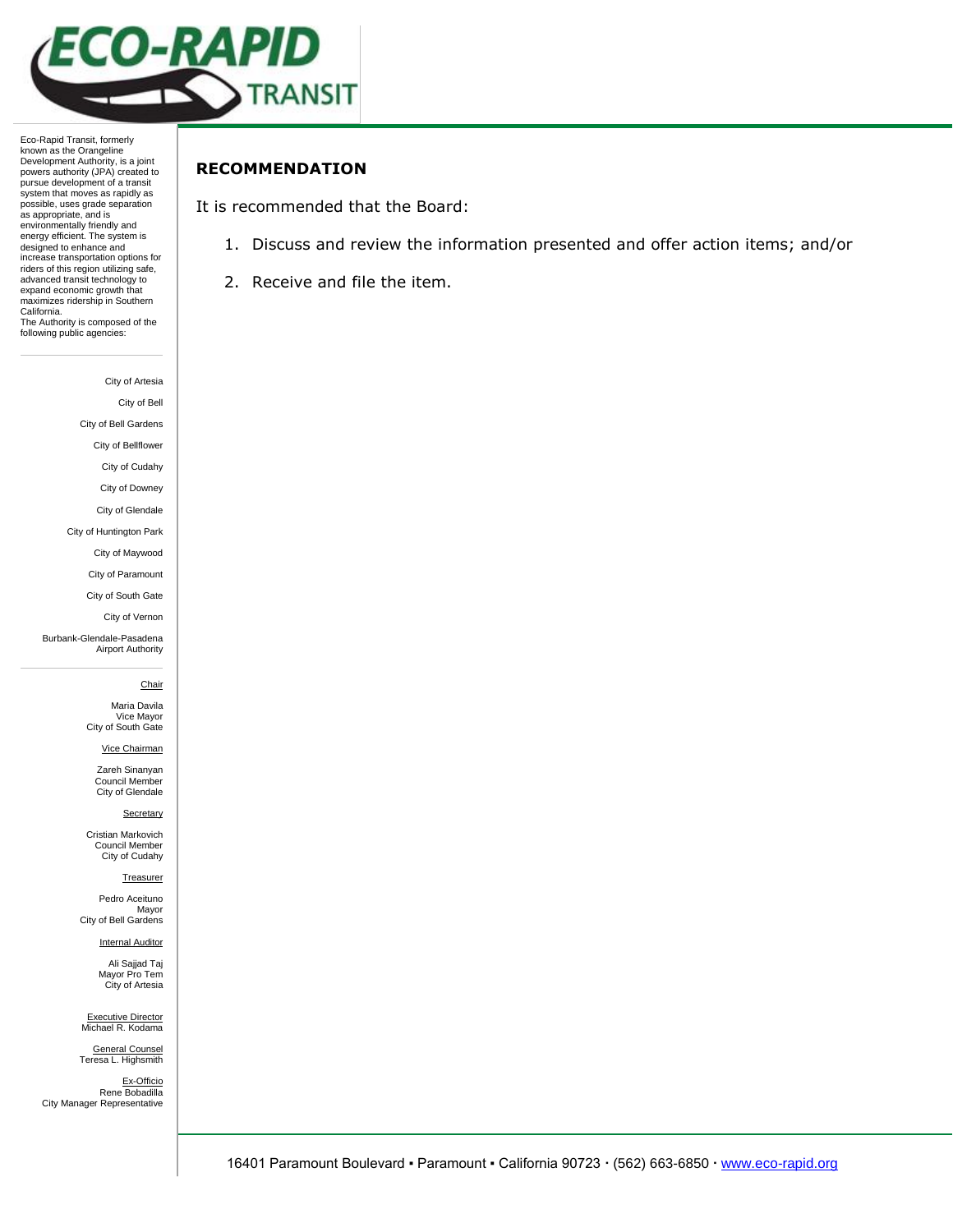

Eco-Rapid Transit, formerly known as the Orangeline Development Authority, is a joint powers authority (JPA) created to pursue development of a transit system that moves as rapidly as possible, uses grade separation as appropriate, and is environmentally friendly and energy efficient. The system is designed to enhance and increase transportation options for riders of this region utilizing safe, advanced transit technology to expand economic growth that maximizes ridership in Southern California. The Authority is composed of the following public agencies:

City of Artesia

City of Bell

City of Bell Gardens

City of Bellflower City of Cudahy

City of Downey

City of Glendale

City of Huntington Park

City of Maywood

City of Paramount

City of South Gate

City of Vernon

Burbank-Glendale-Pasadena Airport Authority

#### **Chair**

Maria Davila Vice Mayor City of South Gate

Vice Chairman

Zareh Sinanyan Council Member City of Glendale

**Secretary** 

Cristian Markovich Council Member City of Cudahy

**Treasurer** 

Pedro Aceituno Mayor City of Bell Gardens

**Internal Auditor** 

Ali Sajjad Taj Mayor Pro Tem City of Artesia

Executive Director Michael R. Kodama

General Counsel Teresa L. Highsmith

Ex-Officio Rene Bobadilla City Manager Representative

## **RECOMMENDATION**

It is recommended that the Board:

- 1. Discuss and review the information presented and offer action items; and/or
- 2. Receive and file the item.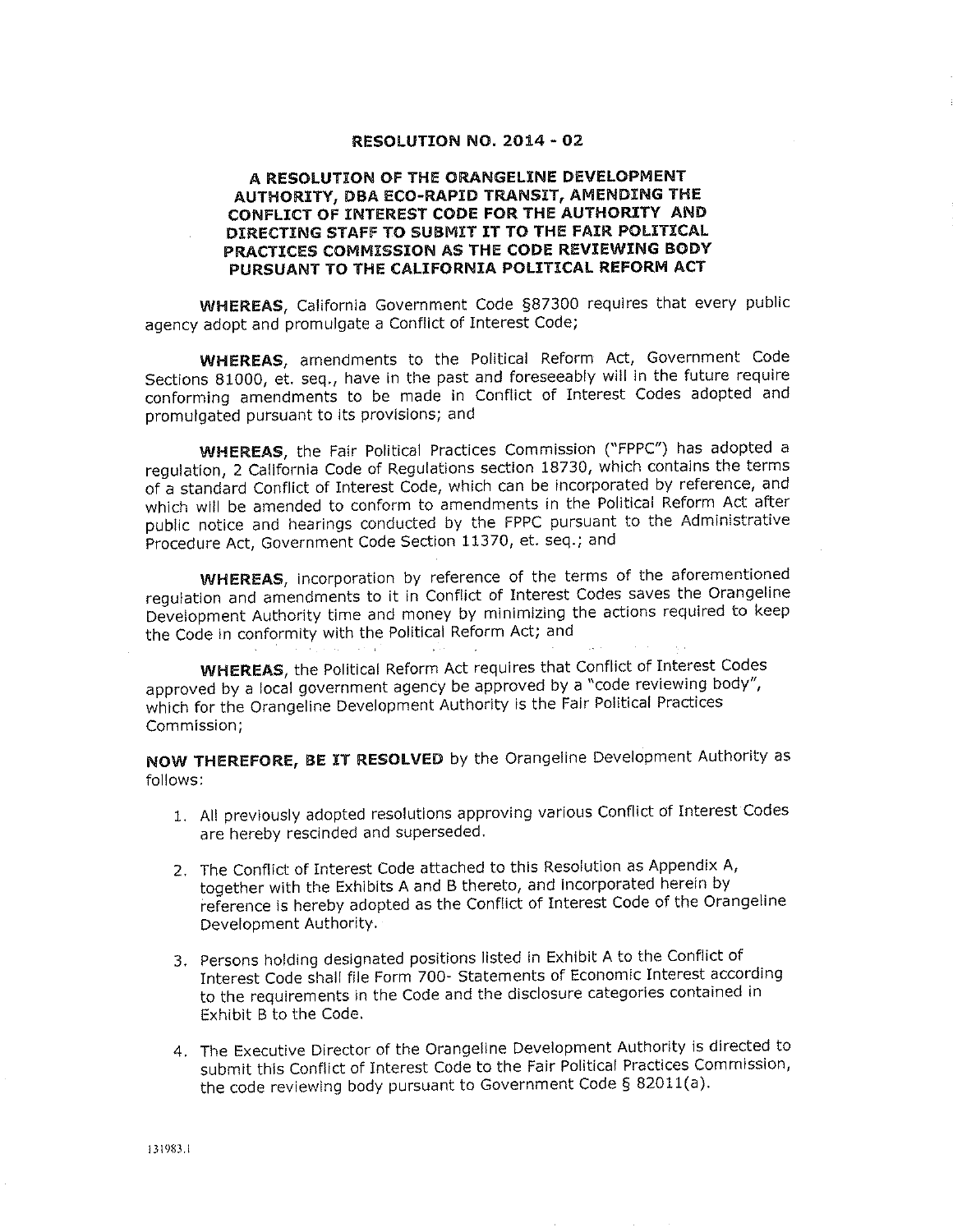### RESOLUTION NO. 2014 - 02

### A RESOLUTION OF THE ORANGELINE DEVELOPMENT AUTHORITY, DBA ECO-RAPID TRANSIT, AMENDING THE CONFLICT OF INTEREST CODE FOR THE AUTHORITY AND DIRECTING STAFF TO SUBMIT IT TO THE FAIR POLITICAL PRACTICES COMMISSION AS THE CODE REVIEWING BODY PURSUANT TO THE CALIFORNIA POLITICAL REFORM ACT

WHEREAS, California Government Code §87300 requires that every public agency adopt and promulgate a Conflict of Interest Code;

WHEREAS, amendments to the Political Reform Act, Government Code Sections 81000, et. seq., have in the past and foreseeably will in the future require conforming amendments to be made in Conflict of Interest Codes adopted and promulgated pursuant to its provisions; and

**WHEREAS**, the Fair Political Practices Commission ("FPPC") has adopted a regulation, 2 California Code of Regulations section 18730, which contains the terms of a standard Conflict of Interest Code, which can be incorporated by reference, and which will be amended to conform to amendments in the Political Reform Act after public notice and hearings conducted by the FPPC pursuant to the Administrative Procedure Act, Government Code Section 11370, et. seq.; and

**WHEREAS**, incorporation by reference of the terms of the aforementioned requiation and amendments to it in Conflict of Interest Codes saves the Orangeline Development Authority time and money by minimizing the actions required to keep the Code in conformity with the Political Reform Act; and

**WHEREAS**, the Political Reform Act requires that Conflict of Interest Codes approved by a local government agency be approved by a "code reviewing body", which for the Orangeline Development Authority is the Fair Political Practices Commission;

NOW THEREFORE, BE IT RESOLVED by the Orangeline Development Authority as follows:

- 1. All previously adopted resolutions approving various Conflict of Interest Codes are hereby rescinded and superseded.
- 2. The Conflict of Interest Code attached to this Resolution as Appendix A, together with the Exhibits A and B thereto, and incorporated herein by reference is hereby adopted as the Conflict of Interest Code of the Orangeline Development Authority.
- 3. Persons holding designated positions listed in Exhibit A to the Conflict of Interest Code shall file Form 700- Statements of Economic Interest according to the requirements in the Code and the disclosure categories contained in Exhibit B to the Code.
- 4. The Executive Director of the Orangeline Development Authority is directed to submit this Conflict of Interest Code to the Fair Political Practices Commission, the code reviewing body pursuant to Government Code § 82011(a).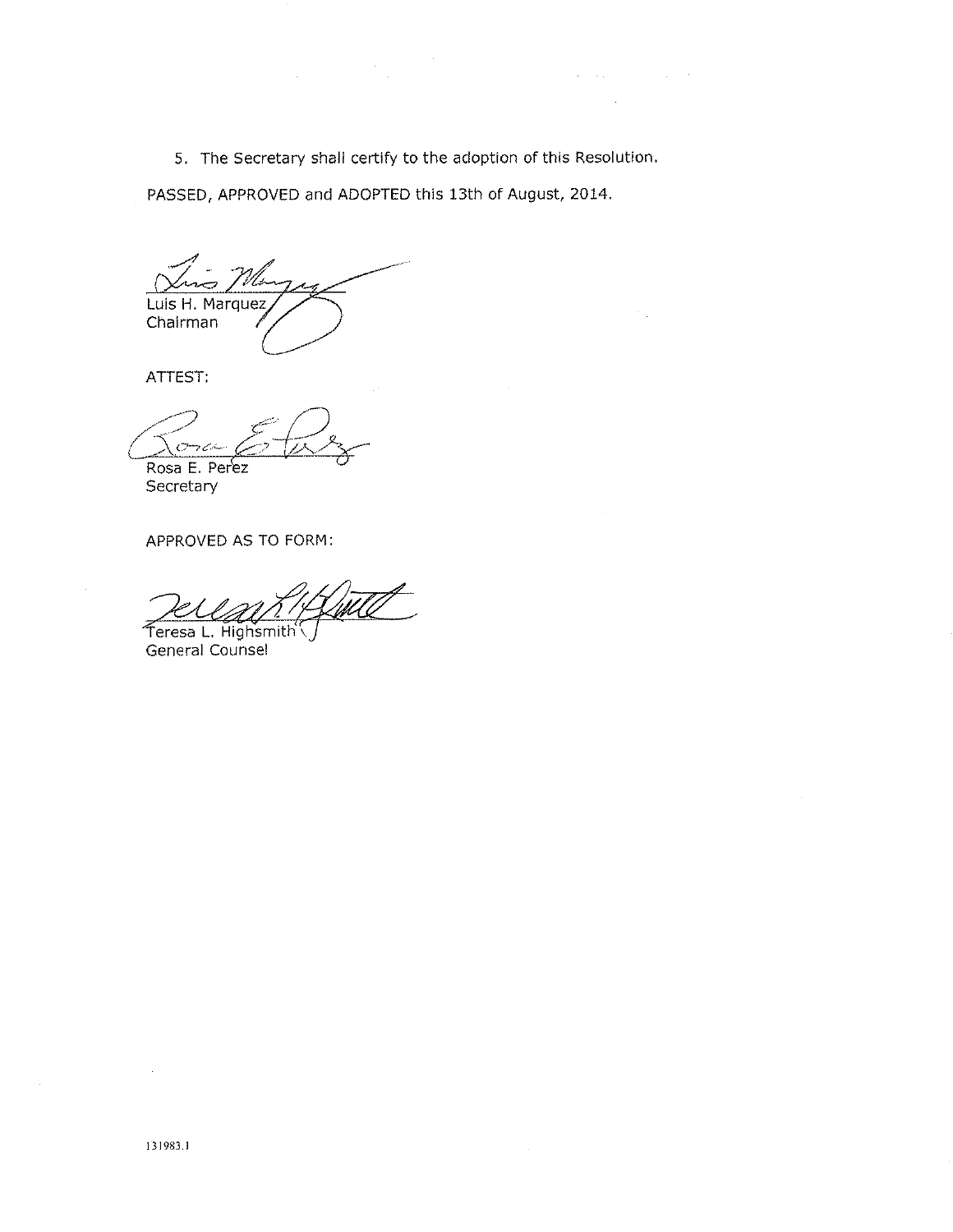5. The Secretary shall certify to the adoption of this Resolution.

 $\mathcal{O}(\mathcal{O}(\log n))$  , where  $\mathcal{O}(\log n)$  is  $\mathcal{O}(\log n)$ 

PASSED, APPROVED and ADOPTED this 13th of August, 2014.

Luis H. Marquez Chairman

ATTEST:

 $C^{\perp}$ ch Rosa E. Perez

Secretary

APPROVED AS TO FORM:

Teresa L. Highsmith General Counsel

 $\sim$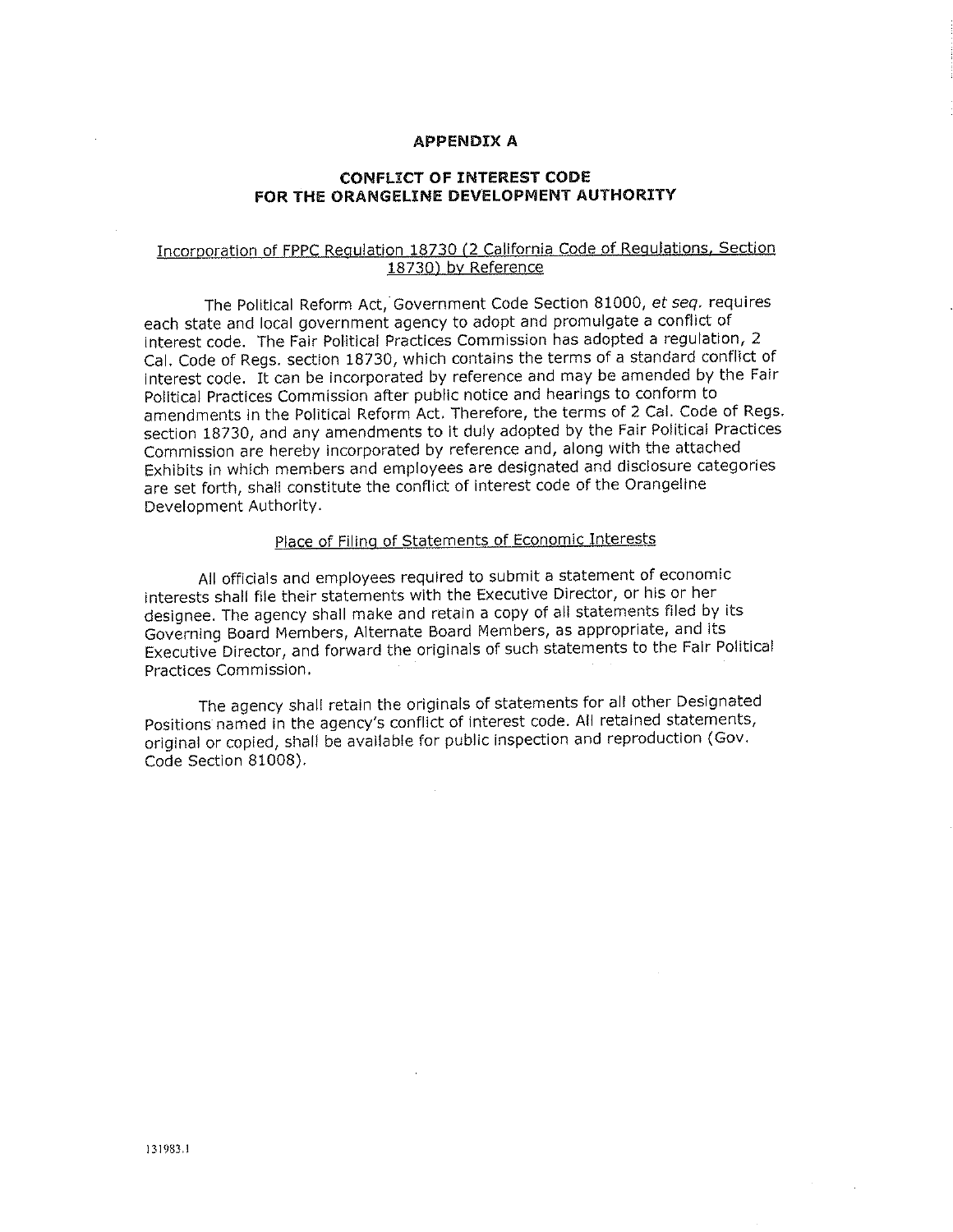### **APPENDIX A**

## **CONFLICT OF INTEREST CODE** FOR THE ORANGELINE DEVELOPMENT AUTHORITY

## Incorporation of FPPC Regulation 18730 (2 California Code of Regulations, Section 18730) by Reference

The Political Reform Act, Government Code Section 81000, et seq. requires each state and local government agency to adopt and promulgate a conflict of interest code. The Fair Political Practices Commission has adopted a regulation, 2 Cal. Code of Regs. section 18730, which contains the terms of a standard conflict of Interest code. It can be incorporated by reference and may be amended by the Fair Political Practices Commission after public notice and hearings to conform to amendments in the Political Reform Act. Therefore, the terms of 2 Cal. Code of Regs. section 18730, and any amendments to it duly adopted by the Fair Political Practices Commission are hereby incorporated by reference and, along with the attached Exhibits in which members and employees are designated and disclosure categories are set forth, shall constitute the conflict of interest code of the Orangeline Development Authority.

# Place of Filing of Statements of Economic Interests

All officials and employees required to submit a statement of economic interests shall file their statements with the Executive Director, or his or her designee. The agency shall make and retain a copy of all statements filed by its Governing Board Members, Alternate Board Members, as appropriate, and its Executive Director, and forward the originals of such statements to the Fair Political Practices Commission.

The agency shall retain the originals of statements for all other Designated Positions named in the agency's conflict of interest code. All retained statements, original or copied, shall be available for public inspection and reproduction (Gov. Code Section 81008).